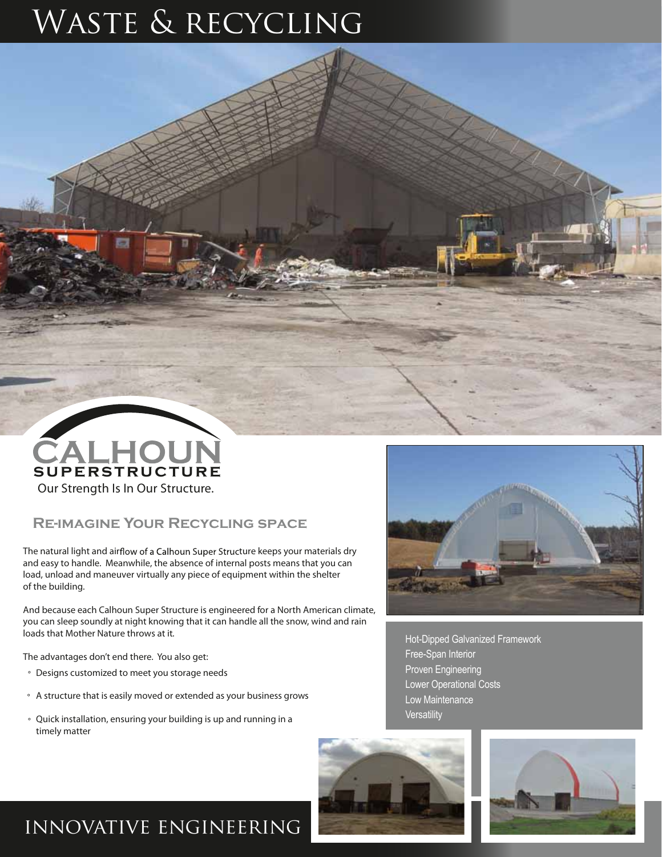# WASTE & RECYCLING



#### **Re-imagine Your Recycling space**

The natural light and airflow of a Calhoun Super Structure keeps your materials dry and easy to handle. Meanwhile, the absence of internal posts means that you can load, unload and maneuver virtually any piece of equipment within the shelter of the building.

And because each Calhoun Super Structure is engineered for a North American climate, you can sleep soundly at night knowing that it can handle all the snow, wind and rain loads that Mother Nature throws at it.

The advantages don't end there. You also get:

- ° Designs customized to meet you storage needs
- $\,^{\circ}\,$  A structure that is easily moved or extended as your business grows
- ° Quick installation, ensuring your building is up and running in a timely matter



Hot-Dipped Galvanized Framework Free-Span Interior Proven Engineering Lower Operational Costs Low Maintenance **Versatility** 





### innovative engineering